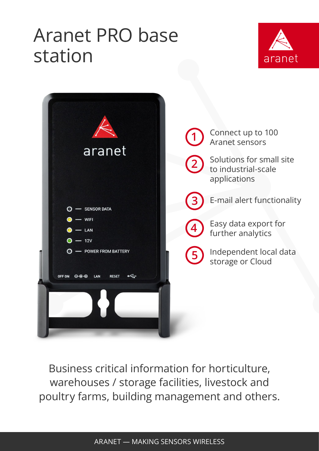## Aranet PRO base station





Business critical information for horticulture, warehouses / storage facilities, livestock and poultry farms, building management and others.